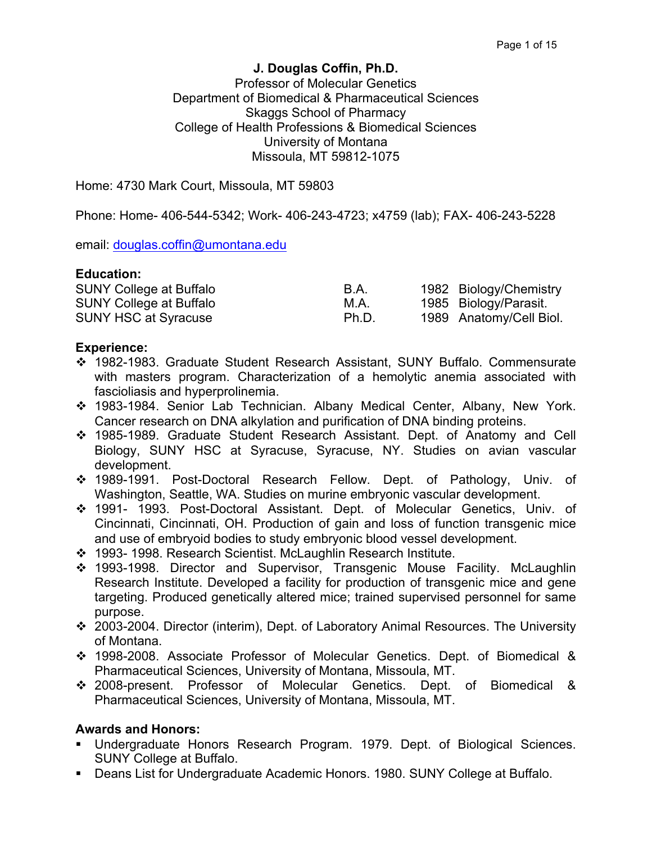### **J. Douglas Coffin, Ph.D.**

### Professor of Molecular Genetics Department of Biomedical & Pharmaceutical Sciences Skaggs School of Pharmacy College of Health Professions & Biomedical Sciences University of Montana Missoula, MT 59812-1075

Home: 4730 Mark Court, Missoula, MT 59803

Phone: Home- 406-544-5342; Work- 406-243-4723; x4759 (lab); FAX- 406-243-5228

email: douglas.coffin@umontana.edu

#### **Education:**

| <b>SUNY College at Buffalo</b> | B.A.  | 1982 Biology/Chemistry  |
|--------------------------------|-------|-------------------------|
| <b>SUNY College at Buffalo</b> | M.A.  | 1985 Biology/Parasit.   |
| <b>SUNY HSC at Syracuse</b>    | Ph.D. | 1989 Anatomy/Cell Biol. |

#### **Experience:**

- v 1982-1983. Graduate Student Research Assistant, SUNY Buffalo. Commensurate with masters program. Characterization of a hemolytic anemia associated with fascioliasis and hyperprolinemia.
- v 1983-1984. Senior Lab Technician. Albany Medical Center, Albany, New York. Cancer research on DNA alkylation and purification of DNA binding proteins.
- v 1985-1989. Graduate Student Research Assistant. Dept. of Anatomy and Cell Biology, SUNY HSC at Syracuse, Syracuse, NY. Studies on avian vascular development.
- v 1989-1991. Post-Doctoral Research Fellow. Dept. of Pathology, Univ. of Washington, Seattle, WA. Studies on murine embryonic vascular development.
- v 1991- 1993. Post-Doctoral Assistant. Dept. of Molecular Genetics, Univ. of Cincinnati, Cincinnati, OH. Production of gain and loss of function transgenic mice and use of embryoid bodies to study embryonic blood vessel development.
- v 1993- 1998. Research Scientist. McLaughlin Research Institute.
- v 1993-1998. Director and Supervisor, Transgenic Mouse Facility. McLaughlin Research Institute. Developed a facility for production of transgenic mice and gene targeting. Produced genetically altered mice; trained supervised personnel for same purpose.
- v 2003-2004. Director (interim), Dept. of Laboratory Animal Resources. The University of Montana.
- v 1998-2008. Associate Professor of Molecular Genetics. Dept. of Biomedical & Pharmaceutical Sciences, University of Montana, Missoula, MT.
- v 2008-present. Professor of Molecular Genetics. Dept. of Biomedical & Pharmaceutical Sciences, University of Montana, Missoula, MT.

### **Awards and Honors:**

- § Undergraduate Honors Research Program. 1979. Dept. of Biological Sciences. SUNY College at Buffalo.
- Deans List for Undergraduate Academic Honors. 1980. SUNY College at Buffalo.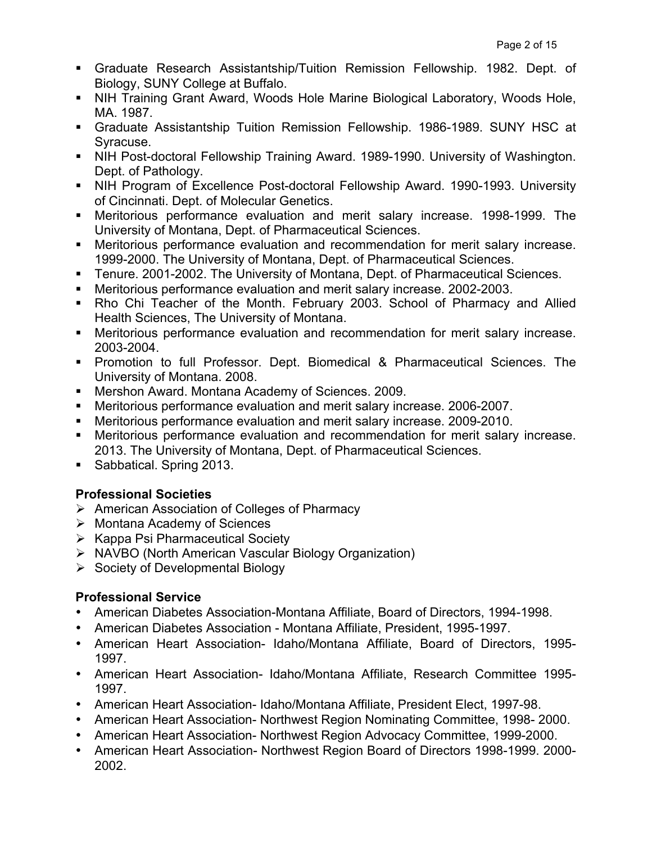- § Graduate Research Assistantship/Tuition Remission Fellowship. 1982. Dept. of Biology, SUNY College at Buffalo.
- NIH Training Grant Award, Woods Hole Marine Biological Laboratory, Woods Hole, MA. 1987.
- § Graduate Assistantship Tuition Remission Fellowship. 1986-1989. SUNY HSC at Syracuse.
- NIH Post-doctoral Fellowship Training Award. 1989-1990. University of Washington. Dept. of Pathology.
- NIH Program of Excellence Post-doctoral Fellowship Award. 1990-1993. University of Cincinnati. Dept. of Molecular Genetics.
- § Meritorious performance evaluation and merit salary increase. 1998-1999. The University of Montana, Dept. of Pharmaceutical Sciences.
- **■** Meritorious performance evaluation and recommendation for merit salary increase. 1999-2000. The University of Montana, Dept. of Pharmaceutical Sciences.
- § Tenure. 2001-2002. The University of Montana, Dept. of Pharmaceutical Sciences.
- Meritorious performance evaluation and merit salary increase. 2002-2003.
- § Rho Chi Teacher of the Month. February 2003. School of Pharmacy and Allied Health Sciences, The University of Montana.
- **Meritorious performance evaluation and recommendation for merit salary increase.** 2003-2004.
- § Promotion to full Professor. Dept. Biomedical & Pharmaceutical Sciences. The University of Montana. 2008.
- Mershon Award. Montana Academy of Sciences. 2009.
- Meritorious performance evaluation and merit salary increase. 2006-2007.
- Meritorious performance evaluation and merit salary increase. 2009-2010.
- **Meritorious performance evaluation and recommendation for merit salary increase.** 2013. The University of Montana, Dept. of Pharmaceutical Sciences.
- Sabbatical. Spring 2013.

# **Professional Societies**

- Ø American Association of Colleges of Pharmacy
- $\triangleright$  Montana Academy of Sciences
- $\triangleright$  Kappa Psi Pharmaceutical Society
- Ø NAVBO (North American Vascular Biology Organization)
- $\triangleright$  Society of Developmental Biology

# **Professional Service**

- American Diabetes Association-Montana Affiliate, Board of Directors, 1994-1998.
- American Diabetes Association Montana Affiliate, President, 1995-1997.
- American Heart Association- Idaho/Montana Affiliate, Board of Directors, 1995- 1997.
- American Heart Association- Idaho/Montana Affiliate, Research Committee 1995- 1997.
- American Heart Association- Idaho/Montana Affiliate, President Elect, 1997-98.
- American Heart Association- Northwest Region Nominating Committee, 1998- 2000.
- American Heart Association- Northwest Region Advocacy Committee, 1999-2000.
- American Heart Association- Northwest Region Board of Directors 1998-1999. 2000- 2002.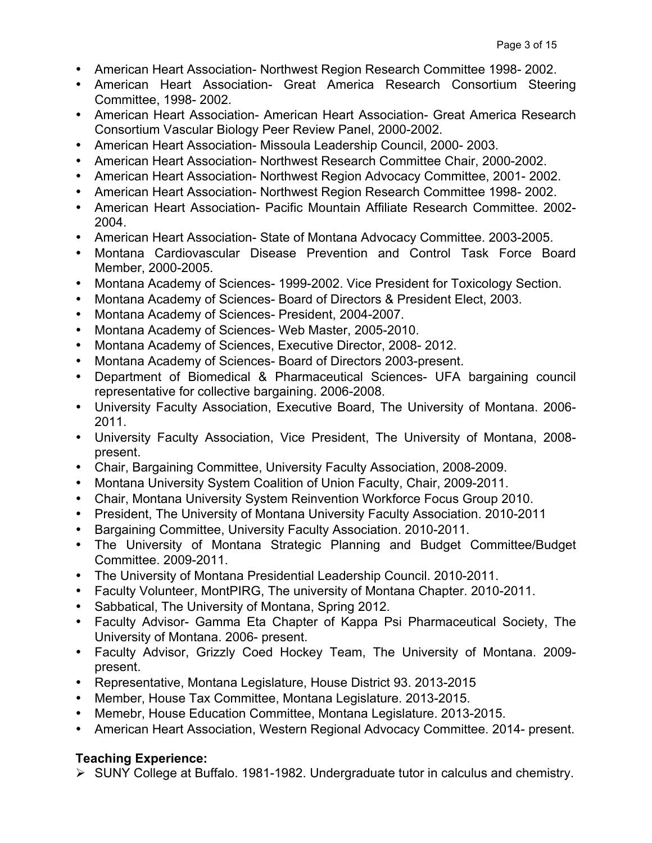- American Heart Association- Northwest Region Research Committee 1998- 2002.
- American Heart Association- Great America Research Consortium Steering Committee, 1998- 2002.
- American Heart Association- American Heart Association- Great America Research Consortium Vascular Biology Peer Review Panel, 2000-2002.
- American Heart Association- Missoula Leadership Council, 2000- 2003.
- American Heart Association- Northwest Research Committee Chair, 2000-2002.
- American Heart Association- Northwest Region Advocacy Committee, 2001- 2002.
- American Heart Association- Northwest Region Research Committee 1998- 2002.
- American Heart Association- Pacific Mountain Affiliate Research Committee. 2002- 2004.
- American Heart Association- State of Montana Advocacy Committee. 2003-2005.
- Montana Cardiovascular Disease Prevention and Control Task Force Board Member, 2000-2005.
- Montana Academy of Sciences- 1999-2002. Vice President for Toxicology Section.
- Montana Academy of Sciences- Board of Directors & President Elect, 2003.
- Montana Academy of Sciences- President, 2004-2007.
- Montana Academy of Sciences- Web Master, 2005-2010.
- Montana Academy of Sciences, Executive Director, 2008- 2012.
- Montana Academy of Sciences- Board of Directors 2003-present.
- Department of Biomedical & Pharmaceutical Sciences- UFA bargaining council representative for collective bargaining. 2006-2008.
- University Faculty Association, Executive Board, The University of Montana. 2006- 2011.
- University Faculty Association, Vice President, The University of Montana, 2008 present.
- Chair, Bargaining Committee, University Faculty Association, 2008-2009.
- Montana University System Coalition of Union Faculty, Chair, 2009-2011.
- Chair, Montana University System Reinvention Workforce Focus Group 2010.
- President, The University of Montana University Faculty Association. 2010-2011
- Bargaining Committee, University Faculty Association. 2010-2011.
- The University of Montana Strategic Planning and Budget Committee/Budget Committee. 2009-2011.
- The University of Montana Presidential Leadership Council. 2010-2011.
- Faculty Volunteer, MontPIRG, The university of Montana Chapter. 2010-2011.
- Sabbatical, The University of Montana, Spring 2012.
- Faculty Advisor- Gamma Eta Chapter of Kappa Psi Pharmaceutical Society, The University of Montana. 2006- present.
- Faculty Advisor, Grizzly Coed Hockey Team, The University of Montana. 2009 present.
- Representative, Montana Legislature, House District 93. 2013-2015
- Member, House Tax Committee, Montana Legislature. 2013-2015.
- Memebr, House Education Committee, Montana Legislature. 2013-2015.
- American Heart Association, Western Regional Advocacy Committee. 2014- present.

# **Teaching Experience:**

Ø SUNY College at Buffalo. 1981-1982. Undergraduate tutor in calculus and chemistry.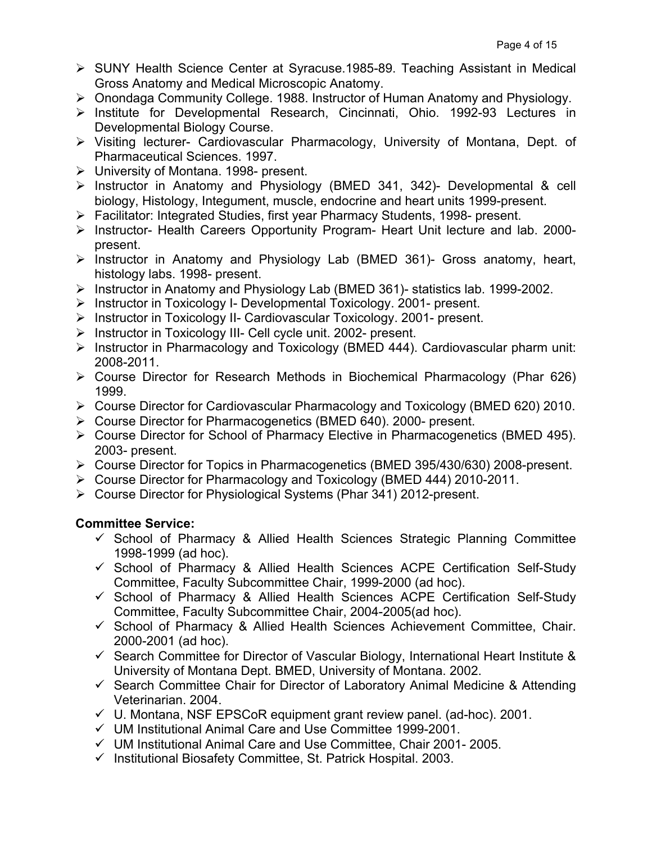- Ø SUNY Health Science Center at Syracuse.1985-89. Teaching Assistant in Medical Gross Anatomy and Medical Microscopic Anatomy.
- Ø Onondaga Community College. 1988. Instructor of Human Anatomy and Physiology.
- Ø Institute for Developmental Research, Cincinnati, Ohio. 1992-93 Lectures in Developmental Biology Course.
- Ø Visiting lecturer- Cardiovascular Pharmacology, University of Montana, Dept. of Pharmaceutical Sciences. 1997.
- $\triangleright$  University of Montana. 1998- present.
- Ø Instructor in Anatomy and Physiology (BMED 341, 342)- Developmental & cell biology, Histology, Integument, muscle, endocrine and heart units 1999-present.
- Ø Facilitator: Integrated Studies, first year Pharmacy Students, 1998- present.
- $\triangleright$  Instructor- Health Careers Opportunity Program- Heart Unit lecture and lab. 2000present.
- $\triangleright$  Instructor in Anatomy and Physiology Lab (BMED 361)- Gross anatomy, heart, histology labs. 1998- present.
- Ø Instructor in Anatomy and Physiology Lab (BMED 361)- statistics lab. 1999-2002.
- $\triangleright$  Instructor in Toxicology I- Developmental Toxicology. 2001- present.
- $\triangleright$  Instructor in Toxicology II- Cardiovascular Toxicology. 2001- present.
- Ø Instructor in Toxicology III- Cell cycle unit. 2002- present.
- $\triangleright$  Instructor in Pharmacology and Toxicology (BMED 444). Cardiovascular pharm unit: 2008-2011.
- $\triangleright$  Course Director for Research Methods in Biochemical Pharmacology (Phar 626) 1999.
- Ø Course Director for Cardiovascular Pharmacology and Toxicology (BMED 620) 2010.
- Ø Course Director for Pharmacogenetics (BMED 640). 2000- present.
- Ø Course Director for School of Pharmacy Elective in Pharmacogenetics (BMED 495). 2003- present.
- Ø Course Director for Topics in Pharmacogenetics (BMED 395/430/630) 2008-present.
- Ø Course Director for Pharmacology and Toxicology (BMED 444) 2010-2011.
- $\triangleright$  Course Director for Physiological Systems (Phar 341) 2012-present.

# **Committee Service:**

- $\checkmark$  School of Pharmacy & Allied Health Sciences Strategic Planning Committee 1998-1999 (ad hoc).
- $\checkmark$  School of Pharmacy & Allied Health Sciences ACPE Certification Self-Study Committee, Faculty Subcommittee Chair, 1999-2000 (ad hoc).
- $\checkmark$  School of Pharmacy & Allied Health Sciences ACPE Certification Self-Study Committee, Faculty Subcommittee Chair, 2004-2005(ad hoc).
- $\checkmark$  School of Pharmacy & Allied Health Sciences Achievement Committee, Chair. 2000-2001 (ad hoc).
- $\checkmark$  Search Committee for Director of Vascular Biology, International Heart Institute & University of Montana Dept. BMED, University of Montana. 2002.
- $\checkmark$  Search Committee Chair for Director of Laboratory Animal Medicine & Attending Veterinarian. 2004.
- $\checkmark$  U. Montana, NSF EPSCoR equipment grant review panel. (ad-hoc). 2001.
- $\checkmark$  UM Institutional Animal Care and Use Committee 1999-2001.
- $\checkmark$  UM Institutional Animal Care and Use Committee, Chair 2001- 2005.
- $\checkmark$  Institutional Biosafety Committee, St. Patrick Hospital. 2003.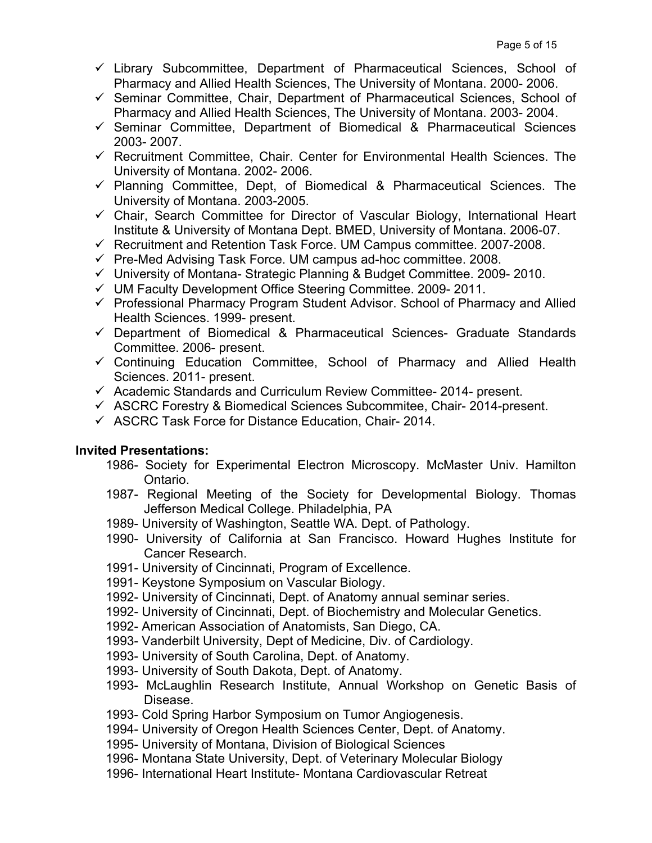- $\checkmark$  Library Subcommittee, Department of Pharmaceutical Sciences, School of Pharmacy and Allied Health Sciences, The University of Montana. 2000- 2006.
- $\checkmark$  Seminar Committee, Chair, Department of Pharmaceutical Sciences, School of Pharmacy and Allied Health Sciences, The University of Montana. 2003- 2004.
- $\checkmark$  Seminar Committee, Department of Biomedical & Pharmaceutical Sciences 2003- 2007.
- $\checkmark$  Recruitment Committee, Chair. Center for Environmental Health Sciences. The University of Montana. 2002- 2006.
- $\checkmark$  Planning Committee, Dept, of Biomedical & Pharmaceutical Sciences. The University of Montana. 2003-2005.
- $\checkmark$  Chair, Search Committee for Director of Vascular Biology, International Heart Institute & University of Montana Dept. BMED, University of Montana. 2006-07.
- $\checkmark$  Recruitment and Retention Task Force. UM Campus committee. 2007-2008.
- $\checkmark$  Pre-Med Advising Task Force. UM campus ad-hoc committee. 2008.
- $\checkmark$  University of Montana- Strategic Planning & Budget Committee. 2009- 2010.
- $\checkmark$  UM Faculty Development Office Steering Committee. 2009- 2011.
- $\checkmark$  Professional Pharmacy Program Student Advisor. School of Pharmacy and Allied Health Sciences. 1999- present.
- $\checkmark$  Department of Biomedical & Pharmaceutical Sciences- Graduate Standards Committee. 2006- present.
- $\checkmark$  Continuing Education Committee, School of Pharmacy and Allied Health Sciences. 2011- present.
- $\checkmark$  Academic Standards and Curriculum Review Committee- 2014- present.
- $\checkmark$  ASCRC Forestry & Biomedical Sciences Subcommitee, Chair- 2014-present.
- $\checkmark$  ASCRC Task Force for Distance Education, Chair- 2014.

### **Invited Presentations:**

- 1986- Society for Experimental Electron Microscopy. McMaster Univ. Hamilton Ontario.
- 1987- Regional Meeting of the Society for Developmental Biology. Thomas Jefferson Medical College. Philadelphia, PA
- 1989- University of Washington, Seattle WA. Dept. of Pathology.
- 1990- University of California at San Francisco. Howard Hughes Institute for Cancer Research.
- 1991- University of Cincinnati, Program of Excellence.
- 1991- Keystone Symposium on Vascular Biology.
- 1992- University of Cincinnati, Dept. of Anatomy annual seminar series.
- 1992- University of Cincinnati, Dept. of Biochemistry and Molecular Genetics.
- 1992- American Association of Anatomists, San Diego, CA.
- 1993- Vanderbilt University, Dept of Medicine, Div. of Cardiology.
- 1993- University of South Carolina, Dept. of Anatomy.
- 1993- University of South Dakota, Dept. of Anatomy.
- 1993- McLaughlin Research Institute, Annual Workshop on Genetic Basis of Disease.
- 1993- Cold Spring Harbor Symposium on Tumor Angiogenesis.
- 1994- University of Oregon Health Sciences Center, Dept. of Anatomy.
- 1995- University of Montana, Division of Biological Sciences
- 1996- Montana State University, Dept. of Veterinary Molecular Biology
- 1996- International Heart Institute- Montana Cardiovascular Retreat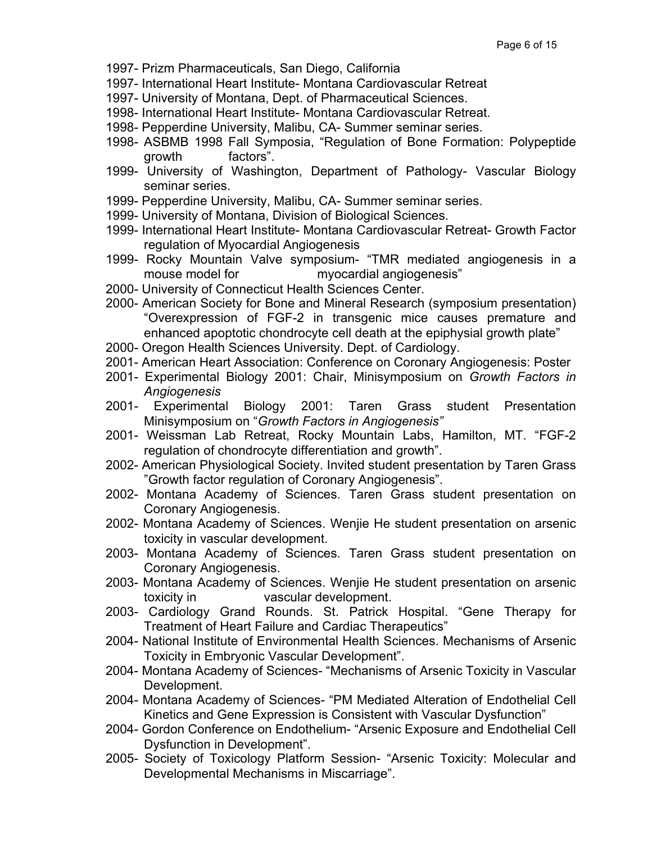- 1997- Prizm Pharmaceuticals, San Diego, California
- 1997- International Heart Institute- Montana Cardiovascular Retreat
- 1997- University of Montana, Dept. of Pharmaceutical Sciences.
- 1998- International Heart Institute- Montana Cardiovascular Retreat.
- 1998- Pepperdine University, Malibu, CA- Summer seminar series.
- 1998- ASBMB 1998 Fall Symposia, "Regulation of Bone Formation: Polypeptide growth factors".
- 1999- University of Washington, Department of Pathology- Vascular Biology seminar series.
- 1999- Pepperdine University, Malibu, CA- Summer seminar series.
- 1999- University of Montana, Division of Biological Sciences.
- 1999- International Heart Institute- Montana Cardiovascular Retreat- Growth Factor regulation of Myocardial Angiogenesis
- 1999- Rocky Mountain Valve symposium- "TMR mediated angiogenesis in a mouse model for myocardial angiogenesis"
- 2000- University of Connecticut Health Sciences Center.
- 2000- American Society for Bone and Mineral Research (symposium presentation) "Overexpression of FGF-2 in transgenic mice causes premature and enhanced apoptotic chondrocyte cell death at the epiphysial growth plate"
- 2000- Oregon Health Sciences University. Dept. of Cardiology.
- 2001- American Heart Association: Conference on Coronary Angiogenesis: Poster
- 2001- Experimental Biology 2001: Chair, Minisymposium on *Growth Factors in Angiogenesis*
- 2001- Experimental Biology 2001: Taren Grass student Presentation Minisymposium on "*Growth Factors in Angiogenesis"*
- 2001- Weissman Lab Retreat, Rocky Mountain Labs, Hamilton, MT. "FGF-2 regulation of chondrocyte differentiation and growth".
- 2002- American Physiological Society. Invited student presentation by Taren Grass "Growth factor regulation of Coronary Angiogenesis".
- 2002- Montana Academy of Sciences. Taren Grass student presentation on Coronary Angiogenesis.
- 2002- Montana Academy of Sciences. Wenjie He student presentation on arsenic toxicity in vascular development.
- 2003- Montana Academy of Sciences. Taren Grass student presentation on Coronary Angiogenesis.
- 2003- Montana Academy of Sciences. Wenjie He student presentation on arsenic toxicity in vascular development.
- 2003- Cardiology Grand Rounds. St. Patrick Hospital. "Gene Therapy for Treatment of Heart Failure and Cardiac Therapeutics"
- 2004- National Institute of Environmental Health Sciences. Mechanisms of Arsenic Toxicity in Embryonic Vascular Development".
- 2004- Montana Academy of Sciences- "Mechanisms of Arsenic Toxicity in Vascular Development.
- 2004- Montana Academy of Sciences- "PM Mediated Alteration of Endothelial Cell Kinetics and Gene Expression is Consistent with Vascular Dysfunction"
- 2004- Gordon Conference on Endothelium- "Arsenic Exposure and Endothelial Cell Dysfunction in Development".
- 2005- Society of Toxicology Platform Session- "Arsenic Toxicity: Molecular and Developmental Mechanisms in Miscarriage".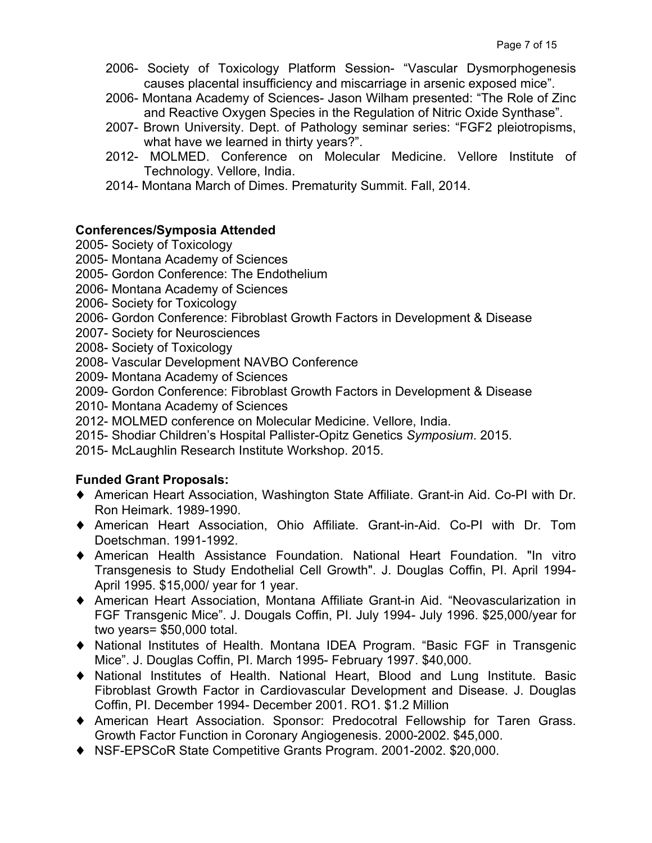- 2006- Society of Toxicology Platform Session- "Vascular Dysmorphogenesis causes placental insufficiency and miscarriage in arsenic exposed mice".
- 2006- Montana Academy of Sciences- Jason Wilham presented: "The Role of Zinc and Reactive Oxygen Species in the Regulation of Nitric Oxide Synthase".
- 2007- Brown University. Dept. of Pathology seminar series: "FGF2 pleiotropisms, what have we learned in thirty years?".
- 2012- MOLMED. Conference on Molecular Medicine. Vellore Institute of Technology. Vellore, India.
- 2014- Montana March of Dimes. Prematurity Summit. Fall, 2014.

### **Conferences/Symposia Attended**

- 2005- Society of Toxicology
- 2005- Montana Academy of Sciences
- 2005- Gordon Conference: The Endothelium
- 2006- Montana Academy of Sciences
- 2006- Society for Toxicology
- 2006- Gordon Conference: Fibroblast Growth Factors in Development & Disease
- 2007- Society for Neurosciences
- 2008- Society of Toxicology
- 2008- Vascular Development NAVBO Conference
- 2009- Montana Academy of Sciences
- 2009- Gordon Conference: Fibroblast Growth Factors in Development & Disease
- 2010- Montana Academy of Sciences
- 2012- MOLMED conference on Molecular Medicine. Vellore, India.
- 2015- Shodiar Children's Hospital Pallister-Opitz Genetics *Symposium*. 2015.
- 2015- McLaughlin Research Institute Workshop. 2015.

# **Funded Grant Proposals:**

- ♦ American Heart Association, Washington State Affiliate. Grant-in Aid. Co-PI with Dr. Ron Heimark. 1989-1990.
- ♦ American Heart Association, Ohio Affiliate. Grant-in-Aid. Co-PI with Dr. Tom Doetschman. 1991-1992.
- ♦ American Health Assistance Foundation. National Heart Foundation. "In vitro Transgenesis to Study Endothelial Cell Growth". J. Douglas Coffin, PI. April 1994- April 1995. \$15,000/ year for 1 year.
- ♦ American Heart Association, Montana Affiliate Grant-in Aid. "Neovascularization in FGF Transgenic Mice". J. Dougals Coffin, PI. July 1994- July 1996. \$25,000/year for two years= \$50,000 total.
- ♦ National Institutes of Health. Montana IDEA Program. "Basic FGF in Transgenic Mice". J. Douglas Coffin, PI. March 1995- February 1997. \$40,000.
- ♦ National Institutes of Health. National Heart, Blood and Lung Institute. Basic Fibroblast Growth Factor in Cardiovascular Development and Disease. J. Douglas Coffin, PI. December 1994- December 2001. RO1. \$1.2 Million
- ♦ American Heart Association. Sponsor: Predocotral Fellowship for Taren Grass. Growth Factor Function in Coronary Angiogenesis. 2000-2002. \$45,000.
- ♦ NSF-EPSCoR State Competitive Grants Program. 2001-2002. \$20,000.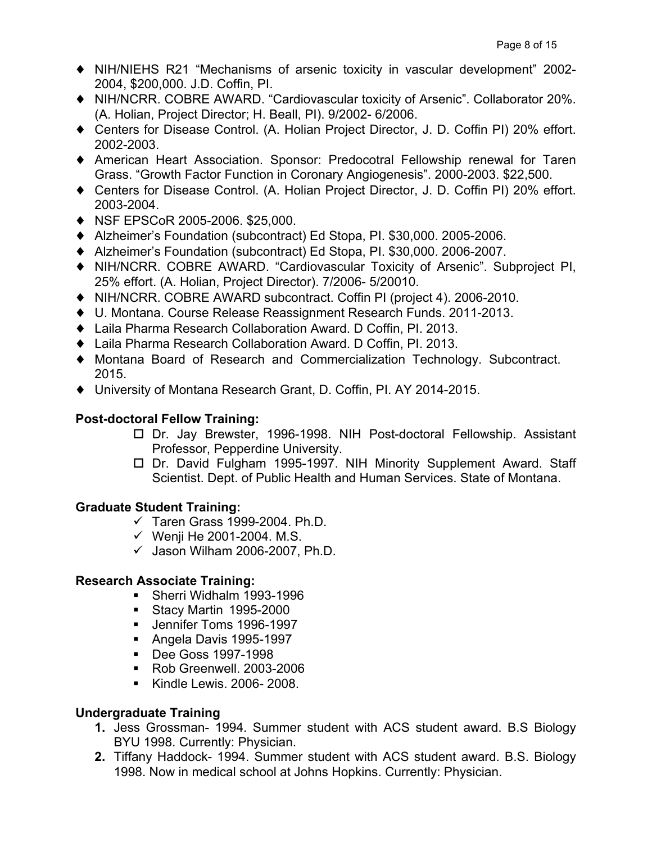- ♦ NIH/NIEHS R21 "Mechanisms of arsenic toxicity in vascular development" 2002- 2004, \$200,000. J.D. Coffin, PI.
- ♦ NIH/NCRR. COBRE AWARD. "Cardiovascular toxicity of Arsenic". Collaborator 20%. (A. Holian, Project Director; H. Beall, PI). 9/2002- 6/2006.
- ♦ Centers for Disease Control. (A. Holian Project Director, J. D. Coffin PI) 20% effort. 2002-2003.
- ♦ American Heart Association. Sponsor: Predocotral Fellowship renewal for Taren Grass. "Growth Factor Function in Coronary Angiogenesis". 2000-2003. \$22,500.
- ♦ Centers for Disease Control. (A. Holian Project Director, J. D. Coffin PI) 20% effort. 2003-2004.
- ♦ NSF EPSCoR 2005-2006. \$25,000.
- ♦ Alzheimer's Foundation (subcontract) Ed Stopa, PI. \$30,000. 2005-2006.
- ♦ Alzheimer's Foundation (subcontract) Ed Stopa, PI. \$30,000. 2006-2007.
- ♦ NIH/NCRR. COBRE AWARD. "Cardiovascular Toxicity of Arsenic". Subproject PI, 25% effort. (A. Holian, Project Director). 7/2006- 5/20010.
- ♦ NIH/NCRR. COBRE AWARD subcontract. Coffin PI (project 4). 2006-2010.
- ♦ U. Montana. Course Release Reassignment Research Funds. 2011-2013.
- ♦ Laila Pharma Research Collaboration Award. D Coffin, PI. 2013.
- ♦ Laila Pharma Research Collaboration Award. D Coffin, PI. 2013.
- ♦ Montana Board of Research and Commercialization Technology. Subcontract. 2015.
- ♦ University of Montana Research Grant, D. Coffin, PI. AY 2014-2015.

# **Post-doctoral Fellow Training:**

- □ Dr. Jay Brewster, 1996-1998. NIH Post-doctoral Fellowship. Assistant Professor, Pepperdine University.
- □ Dr. David Fulgham 1995-1997. NIH Minority Supplement Award. Staff Scientist. Dept. of Public Health and Human Services. State of Montana.

# **Graduate Student Training:**

- $\checkmark$  Taren Grass 1999-2004. Ph.D.
- $\checkmark$  Wenii He 2001-2004. M.S.
- $\checkmark$  Jason Wilham 2006-2007, Ph.D.

# **Research Associate Training:**

- § Sherri Widhalm 1993-1996
- Stacy Martin 1995-2000
- § Jennifer Toms 1996-1997
- § Angela Davis 1995-1997
- Dee Goss 1997-1998
- § Rob Greenwell. 2003-2006
- § Kindle Lewis. 2006- 2008.

# **Undergraduate Training**

- **1.** Jess Grossman- 1994. Summer student with ACS student award. B.S Biology BYU 1998. Currently: Physician.
- **2.** Tiffany Haddock- 1994. Summer student with ACS student award. B.S. Biology 1998. Now in medical school at Johns Hopkins. Currently: Physician.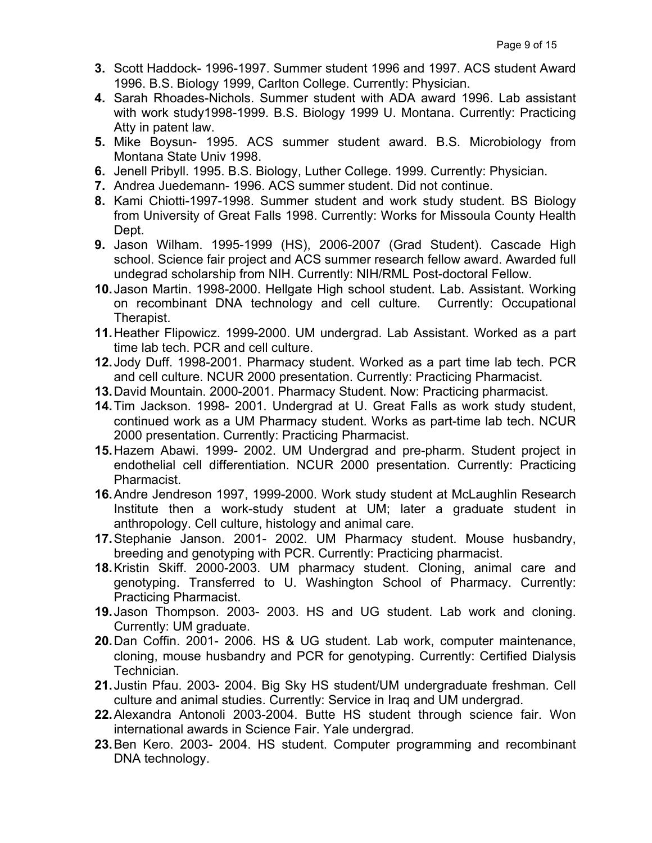- **3.** Scott Haddock- 1996-1997. Summer student 1996 and 1997. ACS student Award 1996. B.S. Biology 1999, Carlton College. Currently: Physician.
- **4.** Sarah Rhoades-Nichols. Summer student with ADA award 1996. Lab assistant with work study1998-1999. B.S. Biology 1999 U. Montana. Currently: Practicing Atty in patent law.
- **5.** Mike Boysun- 1995. ACS summer student award. B.S. Microbiology from Montana State Univ 1998.
- **6.** Jenell Pribyll. 1995. B.S. Biology, Luther College. 1999. Currently: Physician.
- **7.** Andrea Juedemann- 1996. ACS summer student. Did not continue.
- **8.** Kami Chiotti-1997-1998. Summer student and work study student. BS Biology from University of Great Falls 1998. Currently: Works for Missoula County Health Dept.
- **9.** Jason Wilham. 1995-1999 (HS), 2006-2007 (Grad Student). Cascade High school. Science fair project and ACS summer research fellow award. Awarded full undegrad scholarship from NIH. Currently: NIH/RML Post-doctoral Fellow.
- **10.**Jason Martin. 1998-2000. Hellgate High school student. Lab. Assistant. Working on recombinant DNA technology and cell culture. Currently: Occupational Therapist.
- **11.**Heather Flipowicz. 1999-2000. UM undergrad. Lab Assistant. Worked as a part time lab tech. PCR and cell culture.
- **12.**Jody Duff. 1998-2001. Pharmacy student. Worked as a part time lab tech. PCR and cell culture. NCUR 2000 presentation. Currently: Practicing Pharmacist.
- **13.**David Mountain. 2000-2001. Pharmacy Student. Now: Practicing pharmacist.
- **14.**Tim Jackson. 1998- 2001. Undergrad at U. Great Falls as work study student, continued work as a UM Pharmacy student. Works as part-time lab tech. NCUR 2000 presentation. Currently: Practicing Pharmacist.
- **15.**Hazem Abawi. 1999- 2002. UM Undergrad and pre-pharm. Student project in endothelial cell differentiation. NCUR 2000 presentation. Currently: Practicing Pharmacist.
- **16.**Andre Jendreson 1997, 1999-2000. Work study student at McLaughlin Research Institute then a work-study student at UM; later a graduate student in anthropology. Cell culture, histology and animal care.
- **17.**Stephanie Janson. 2001- 2002. UM Pharmacy student. Mouse husbandry, breeding and genotyping with PCR. Currently: Practicing pharmacist.
- **18.**Kristin Skiff. 2000-2003. UM pharmacy student. Cloning, animal care and genotyping. Transferred to U. Washington School of Pharmacy. Currently: Practicing Pharmacist.
- **19.**Jason Thompson. 2003- 2003. HS and UG student. Lab work and cloning. Currently: UM graduate.
- **20.**Dan Coffin. 2001- 2006. HS & UG student. Lab work, computer maintenance, cloning, mouse husbandry and PCR for genotyping. Currently: Certified Dialysis Technician.
- **21.**Justin Pfau. 2003- 2004. Big Sky HS student/UM undergraduate freshman. Cell culture and animal studies. Currently: Service in Iraq and UM undergrad.
- **22.**Alexandra Antonoli 2003-2004. Butte HS student through science fair. Won international awards in Science Fair. Yale undergrad.
- **23.**Ben Kero. 2003- 2004. HS student. Computer programming and recombinant DNA technology.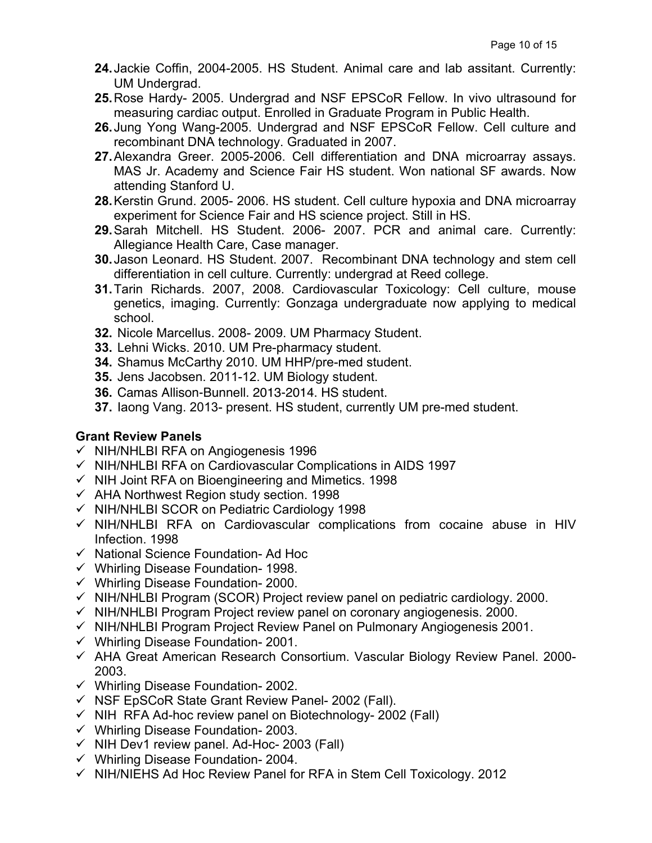- **24.**Jackie Coffin, 2004-2005. HS Student. Animal care and lab assitant. Currently: UM Undergrad.
- **25.**Rose Hardy- 2005. Undergrad and NSF EPSCoR Fellow. In vivo ultrasound for measuring cardiac output. Enrolled in Graduate Program in Public Health.
- **26.**Jung Yong Wang-2005. Undergrad and NSF EPSCoR Fellow. Cell culture and recombinant DNA technology. Graduated in 2007.
- **27.**Alexandra Greer. 2005-2006. Cell differentiation and DNA microarray assays. MAS Jr. Academy and Science Fair HS student. Won national SF awards. Now attending Stanford U.
- **28.**Kerstin Grund. 2005- 2006. HS student. Cell culture hypoxia and DNA microarray experiment for Science Fair and HS science project. Still in HS.
- **29.**Sarah Mitchell. HS Student. 2006- 2007. PCR and animal care. Currently: Allegiance Health Care, Case manager.
- **30.**Jason Leonard. HS Student. 2007. Recombinant DNA technology and stem cell differentiation in cell culture. Currently: undergrad at Reed college.
- **31.**Tarin Richards. 2007, 2008. Cardiovascular Toxicology: Cell culture, mouse genetics, imaging. Currently: Gonzaga undergraduate now applying to medical school.
- **32.** Nicole Marcellus. 2008- 2009. UM Pharmacy Student.
- **33.** Lehni Wicks. 2010. UM Pre-pharmacy student.
- **34.** Shamus McCarthy 2010. UM HHP/pre-med student.
- **35.** Jens Jacobsen. 2011-12. UM Biology student.
- **36.** Camas Allison-Bunnell. 2013-2014. HS student.
- **37.** Iaong Vang. 2013- present. HS student, currently UM pre-med student.

# **Grant Review Panels**

- $\checkmark$  NIH/NHLBI RFA on Angiogenesis 1996
- $\checkmark$  NIH/NHLBI RFA on Cardiovascular Complications in AIDS 1997
- $\checkmark$  NIH Joint RFA on Bioengineering and Mimetics. 1998
- $\checkmark$  AHA Northwest Region study section. 1998
- $\checkmark$  NIH/NHLBI SCOR on Pediatric Cardiology 1998
- $\checkmark$  NIH/NHLBI RFA on Cardiovascular complications from cocaine abuse in HIV Infection. 1998
- $\checkmark$  National Science Foundation- Ad Hoc
- $\checkmark$  Whirling Disease Foundation- 1998.
- $\checkmark$  Whirling Disease Foundation- 2000.
- $\checkmark$  NIH/NHLBI Program (SCOR) Project review panel on pediatric cardiology. 2000.
- $\checkmark$  NIH/NHLBI Program Project review panel on coronary angiogenesis. 2000.
- $\nu$  NIH/NHLBI Program Project Review Panel on Pulmonary Angiogenesis 2001.
- $\checkmark$  Whirling Disease Foundation- 2001.
- $\checkmark$  AHA Great American Research Consortium. Vascular Biology Review Panel. 2000-2003.
- $\checkmark$  Whirling Disease Foundation- 2002.
- $\checkmark$  NSF EpSCoR State Grant Review Panel- 2002 (Fall).
- $\checkmark$  NIH RFA Ad-hoc review panel on Biotechnology- 2002 (Fall)
- $\checkmark$  Whirling Disease Foundation- 2003.
- $\checkmark$  NIH Dev1 review panel. Ad-Hoc- 2003 (Fall)
- $\checkmark$  Whirling Disease Foundation- 2004.
- $\checkmark$  NIH/NIEHS Ad Hoc Review Panel for RFA in Stem Cell Toxicology. 2012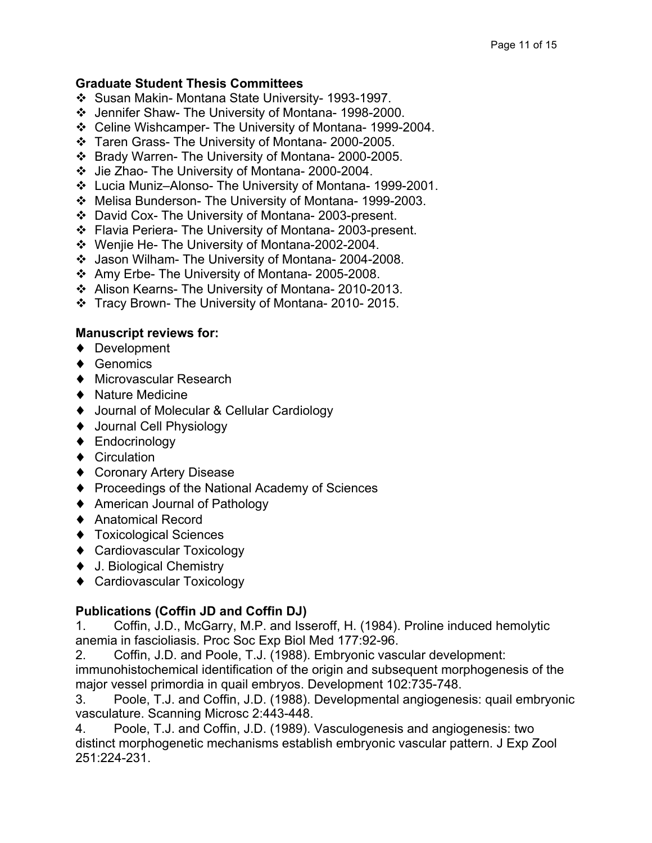### **Graduate Student Thesis Committees**

- v Susan Makin- Montana State University- 1993-1997.
- v Jennifer Shaw- The University of Montana- 1998-2000.
- v Celine Wishcamper- The University of Montana- 1999-2004.
- \* Taren Grass- The University of Montana- 2000-2005.
- v Brady Warren- The University of Montana- 2000-2005.
- v Jie Zhao- The University of Montana- 2000-2004.
- v Lucia Muniz–Alonso- The University of Montana- 1999-2001.
- v Melisa Bunderson- The University of Montana- 1999-2003.
- v David Cox- The University of Montana- 2003-present.
- v Flavia Periera- The University of Montana- 2003-present.
- $\cdot$  Wenjie He-The University of Montana-2002-2004.
- v Jason Wilham- The University of Montana- 2004-2008.
- \* Amy Erbe- The University of Montana- 2005-2008.
- v Alison Kearns- The University of Montana- 2010-2013.
- v Tracy Brown- The University of Montana- 2010- 2015.

### **Manuscript reviews for:**

- ♦ Development
- ♦ Genomics
- ♦ Microvascular Research
- ♦ Nature Medicine
- ♦ Journal of Molecular & Cellular Cardiology
- ♦ Journal Cell Physiology
- ♦ Endocrinology
- ♦ Circulation
- ♦ Coronary Artery Disease
- ♦ Proceedings of the National Academy of Sciences
- ♦ American Journal of Pathology
- ♦ Anatomical Record
- ♦ Toxicological Sciences
- ♦ Cardiovascular Toxicology
- ♦ J. Biological Chemistry
- ♦ Cardiovascular Toxicology

### **Publications (Coffin JD and Coffin DJ)**

1. Coffin, J.D., McGarry, M.P. and Isseroff, H. (1984). Proline induced hemolytic anemia in fascioliasis. Proc Soc Exp Biol Med 177:92-96.

2. Coffin, J.D. and Poole, T.J. (1988). Embryonic vascular development:

immunohistochemical identification of the origin and subsequent morphogenesis of the major vessel primordia in quail embryos. Development 102:735-748.

3. Poole, T.J. and Coffin, J.D. (1988). Developmental angiogenesis: quail embryonic vasculature. Scanning Microsc 2:443-448.

4. Poole, T.J. and Coffin, J.D. (1989). Vasculogenesis and angiogenesis: two distinct morphogenetic mechanisms establish embryonic vascular pattern. J Exp Zool 251:224-231.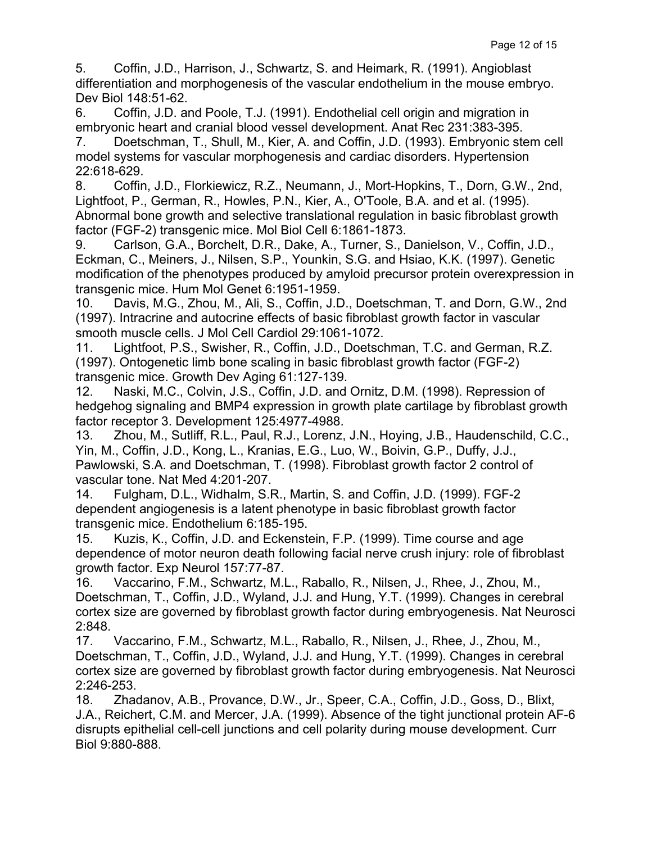5. Coffin, J.D., Harrison, J., Schwartz, S. and Heimark, R. (1991). Angioblast differentiation and morphogenesis of the vascular endothelium in the mouse embryo. Dev Biol 148:51-62.

6. Coffin, J.D. and Poole, T.J. (1991). Endothelial cell origin and migration in embryonic heart and cranial blood vessel development. Anat Rec 231:383-395.

7. Doetschman, T., Shull, M., Kier, A. and Coffin, J.D. (1993). Embryonic stem cell model systems for vascular morphogenesis and cardiac disorders. Hypertension 22:618-629.

8. Coffin, J.D., Florkiewicz, R.Z., Neumann, J., Mort-Hopkins, T., Dorn, G.W., 2nd, Lightfoot, P., German, R., Howles, P.N., Kier, A., O'Toole, B.A. and et al. (1995). Abnormal bone growth and selective translational regulation in basic fibroblast growth factor (FGF-2) transgenic mice. Mol Biol Cell 6:1861-1873.

9. Carlson, G.A., Borchelt, D.R., Dake, A., Turner, S., Danielson, V., Coffin, J.D., Eckman, C., Meiners, J., Nilsen, S.P., Younkin, S.G. and Hsiao, K.K. (1997). Genetic modification of the phenotypes produced by amyloid precursor protein overexpression in transgenic mice. Hum Mol Genet 6:1951-1959.

10. Davis, M.G., Zhou, M., Ali, S., Coffin, J.D., Doetschman, T. and Dorn, G.W., 2nd (1997). Intracrine and autocrine effects of basic fibroblast growth factor in vascular smooth muscle cells. J Mol Cell Cardiol 29:1061-1072.

11. Lightfoot, P.S., Swisher, R., Coffin, J.D., Doetschman, T.C. and German, R.Z. (1997). Ontogenetic limb bone scaling in basic fibroblast growth factor (FGF-2) transgenic mice. Growth Dev Aging 61:127-139.

12. Naski, M.C., Colvin, J.S., Coffin, J.D. and Ornitz, D.M. (1998). Repression of hedgehog signaling and BMP4 expression in growth plate cartilage by fibroblast growth factor receptor 3. Development 125:4977-4988.

13. Zhou, M., Sutliff, R.L., Paul, R.J., Lorenz, J.N., Hoying, J.B., Haudenschild, C.C., Yin, M., Coffin, J.D., Kong, L., Kranias, E.G., Luo, W., Boivin, G.P., Duffy, J.J., Pawlowski, S.A. and Doetschman, T. (1998). Fibroblast growth factor 2 control of vascular tone. Nat Med 4:201-207.

14. Fulgham, D.L., Widhalm, S.R., Martin, S. and Coffin, J.D. (1999). FGF-2 dependent angiogenesis is a latent phenotype in basic fibroblast growth factor transgenic mice. Endothelium 6:185-195.

15. Kuzis, K., Coffin, J.D. and Eckenstein, F.P. (1999). Time course and age dependence of motor neuron death following facial nerve crush injury: role of fibroblast growth factor. Exp Neurol 157:77-87.

16. Vaccarino, F.M., Schwartz, M.L., Raballo, R., Nilsen, J., Rhee, J., Zhou, M., Doetschman, T., Coffin, J.D., Wyland, J.J. and Hung, Y.T. (1999). Changes in cerebral cortex size are governed by fibroblast growth factor during embryogenesis. Nat Neurosci 2:848.

17. Vaccarino, F.M., Schwartz, M.L., Raballo, R., Nilsen, J., Rhee, J., Zhou, M., Doetschman, T., Coffin, J.D., Wyland, J.J. and Hung, Y.T. (1999). Changes in cerebral cortex size are governed by fibroblast growth factor during embryogenesis. Nat Neurosci 2:246-253.

18. Zhadanov, A.B., Provance, D.W., Jr., Speer, C.A., Coffin, J.D., Goss, D., Blixt, J.A., Reichert, C.M. and Mercer, J.A. (1999). Absence of the tight junctional protein AF-6 disrupts epithelial cell-cell junctions and cell polarity during mouse development. Curr Biol 9:880-888.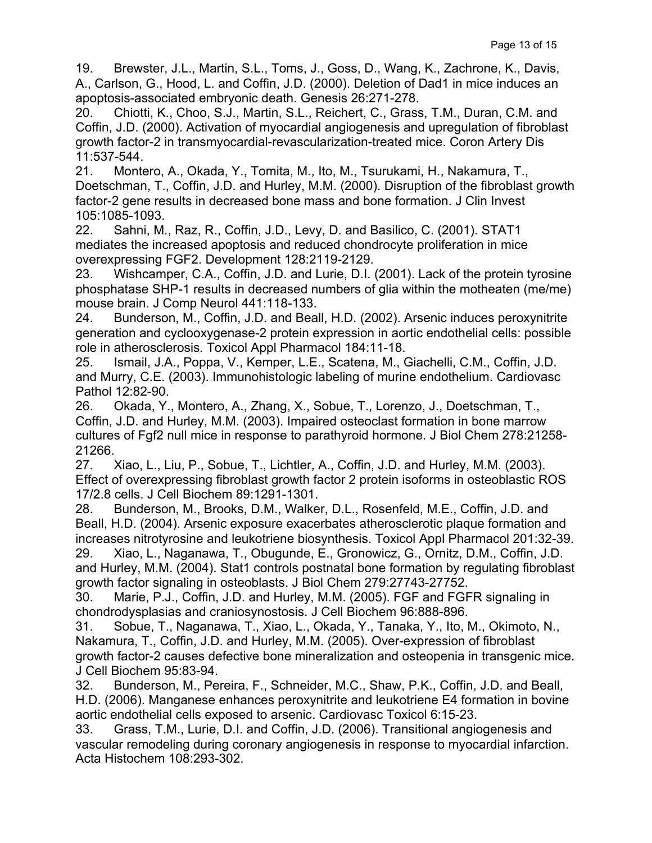19. Brewster, J.L., Martin, S.L., Toms, J., Goss, D., Wang, K., Zachrone, K., Davis, A., Carlson, G., Hood, L. and Coffin, J.D. (2000). Deletion of Dad1 in mice induces an apoptosis-associated embryonic death. Genesis 26:271-278.

20. Chiotti, K., Choo, S.J., Martin, S.L., Reichert, C., Grass, T.M., Duran, C.M. and Coffin, J.D. (2000). Activation of myocardial angiogenesis and upregulation of fibroblast growth factor-2 in transmyocardial-revascularization-treated mice. Coron Artery Dis 11:537-544.

21. Montero, A., Okada, Y., Tomita, M., Ito, M., Tsurukami, H., Nakamura, T., Doetschman, T., Coffin, J.D. and Hurley, M.M. (2000). Disruption of the fibroblast growth factor-2 gene results in decreased bone mass and bone formation. J Clin Invest 105:1085-1093.

22. Sahni, M., Raz, R., Coffin, J.D., Levy, D. and Basilico, C. (2001). STAT1 mediates the increased apoptosis and reduced chondrocyte proliferation in mice overexpressing FGF2. Development 128:2119-2129.

23. Wishcamper, C.A., Coffin, J.D. and Lurie, D.I. (2001). Lack of the protein tyrosine phosphatase SHP-1 results in decreased numbers of glia within the motheaten (me/me) mouse brain. J Comp Neurol 441:118-133.

24. Bunderson, M., Coffin, J.D. and Beall, H.D. (2002). Arsenic induces peroxynitrite generation and cyclooxygenase-2 protein expression in aortic endothelial cells: possible role in atherosclerosis. Toxicol Appl Pharmacol 184:11-18.

25. Ismail, J.A., Poppa, V., Kemper, L.E., Scatena, M., Giachelli, C.M., Coffin, J.D. and Murry, C.E. (2003). Immunohistologic labeling of murine endothelium. Cardiovasc Pathol 12:82-90.

26. Okada, Y., Montero, A., Zhang, X., Sobue, T., Lorenzo, J., Doetschman, T., Coffin, J.D. and Hurley, M.M. (2003). Impaired osteoclast formation in bone marrow cultures of Fgf2 null mice in response to parathyroid hormone. J Biol Chem 278:21258- 21266.

27. Xiao, L., Liu, P., Sobue, T., Lichtler, A., Coffin, J.D. and Hurley, M.M. (2003). Effect of overexpressing fibroblast growth factor 2 protein isoforms in osteoblastic ROS 17/2.8 cells. J Cell Biochem 89:1291-1301.

28. Bunderson, M., Brooks, D.M., Walker, D.L., Rosenfeld, M.E., Coffin, J.D. and Beall, H.D. (2004). Arsenic exposure exacerbates atherosclerotic plaque formation and increases nitrotyrosine and leukotriene biosynthesis. Toxicol Appl Pharmacol 201:32-39.

29. Xiao, L., Naganawa, T., Obugunde, E., Gronowicz, G., Ornitz, D.M., Coffin, J.D. and Hurley, M.M. (2004). Stat1 controls postnatal bone formation by regulating fibroblast growth factor signaling in osteoblasts. J Biol Chem 279:27743-27752.

30. Marie, P.J., Coffin, J.D. and Hurley, M.M. (2005). FGF and FGFR signaling in chondrodysplasias and craniosynostosis. J Cell Biochem 96:888-896.

31. Sobue, T., Naganawa, T., Xiao, L., Okada, Y., Tanaka, Y., Ito, M., Okimoto, N., Nakamura, T., Coffin, J.D. and Hurley, M.M. (2005). Over-expression of fibroblast growth factor-2 causes defective bone mineralization and osteopenia in transgenic mice. J Cell Biochem 95:83-94.

32. Bunderson, M., Pereira, F., Schneider, M.C., Shaw, P.K., Coffin, J.D. and Beall, H.D. (2006). Manganese enhances peroxynitrite and leukotriene E4 formation in bovine aortic endothelial cells exposed to arsenic. Cardiovasc Toxicol 6:15-23.

33. Grass, T.M., Lurie, D.I. and Coffin, J.D. (2006). Transitional angiogenesis and vascular remodeling during coronary angiogenesis in response to myocardial infarction. Acta Histochem 108:293-302.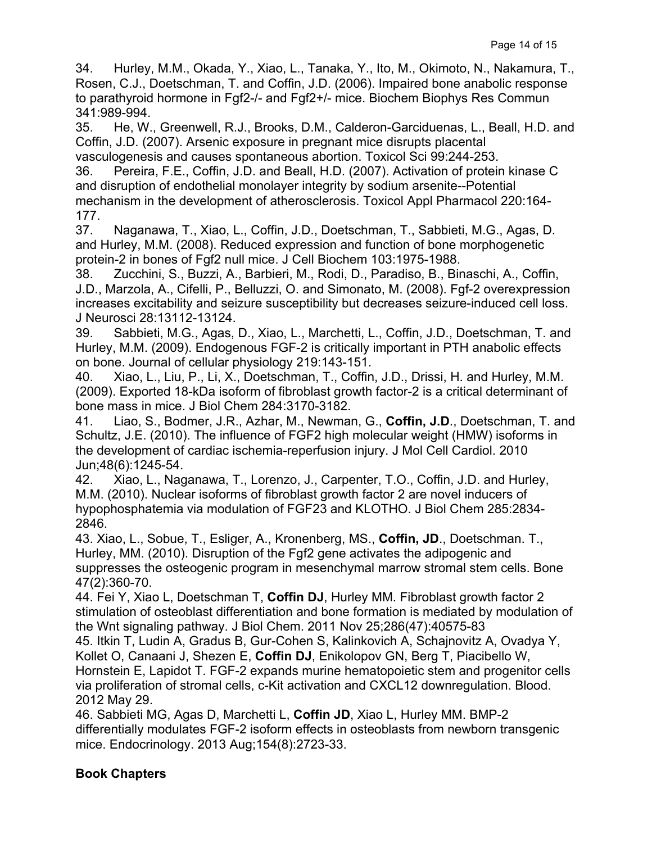34. Hurley, M.M., Okada, Y., Xiao, L., Tanaka, Y., Ito, M., Okimoto, N., Nakamura, T., Rosen, C.J., Doetschman, T. and Coffin, J.D. (2006). Impaired bone anabolic response to parathyroid hormone in Fgf2-/- and Fgf2+/- mice. Biochem Biophys Res Commun 341:989-994.

35. He, W., Greenwell, R.J., Brooks, D.M., Calderon-Garciduenas, L., Beall, H.D. and Coffin, J.D. (2007). Arsenic exposure in pregnant mice disrupts placental vasculogenesis and causes spontaneous abortion. Toxicol Sci 99:244-253.

36. Pereira, F.E., Coffin, J.D. and Beall, H.D. (2007). Activation of protein kinase C and disruption of endothelial monolayer integrity by sodium arsenite--Potential mechanism in the development of atherosclerosis. Toxicol Appl Pharmacol 220:164- 177.

37. Naganawa, T., Xiao, L., Coffin, J.D., Doetschman, T., Sabbieti, M.G., Agas, D. and Hurley, M.M. (2008). Reduced expression and function of bone morphogenetic protein-2 in bones of Fgf2 null mice. J Cell Biochem 103:1975-1988.

38. Zucchini, S., Buzzi, A., Barbieri, M., Rodi, D., Paradiso, B., Binaschi, A., Coffin, J.D., Marzola, A., Cifelli, P., Belluzzi, O. and Simonato, M. (2008). Fgf-2 overexpression increases excitability and seizure susceptibility but decreases seizure-induced cell loss. J Neurosci 28:13112-13124.

39. Sabbieti, M.G., Agas, D., Xiao, L., Marchetti, L., Coffin, J.D., Doetschman, T. and Hurley, M.M. (2009). Endogenous FGF-2 is critically important in PTH anabolic effects on bone. Journal of cellular physiology 219:143-151.

40. Xiao, L., Liu, P., Li, X., Doetschman, T., Coffin, J.D., Drissi, H. and Hurley, M.M. (2009). Exported 18-kDa isoform of fibroblast growth factor-2 is a critical determinant of bone mass in mice. J Biol Chem 284:3170-3182.

41. Liao, S., Bodmer, J.R., Azhar, M., Newman, G., **Coffin, J.D**., Doetschman, T. and Schultz, J.E. (2010). The influence of FGF2 high molecular weight (HMW) isoforms in the development of cardiac ischemia-reperfusion injury. J Mol Cell Cardiol. 2010 Jun;48(6):1245-54.

42. Xiao, L., Naganawa, T., Lorenzo, J., Carpenter, T.O., Coffin, J.D. and Hurley, M.M. (2010). Nuclear isoforms of fibroblast growth factor 2 are novel inducers of hypophosphatemia via modulation of FGF23 and KLOTHO. J Biol Chem 285:2834- 2846.

43. Xiao, L., Sobue, T., Esliger, A., Kronenberg, MS., **Coffin, JD**., Doetschman. T., Hurley, MM. (2010). Disruption of the Fgf2 gene activates the adipogenic and suppresses the osteogenic program in mesenchymal marrow stromal stem cells. Bone 47(2):360-70.

44. Fei Y, Xiao L, Doetschman T, **Coffin DJ**, Hurley MM. Fibroblast growth factor 2 stimulation of osteoblast differentiation and bone formation is mediated by modulation of the Wnt signaling pathway. J Biol Chem. 2011 Nov 25;286(47):40575-83

45. Itkin T, Ludin A, Gradus B, Gur-Cohen S, Kalinkovich A, Schajnovitz A, Ovadya Y, Kollet O, Canaani J, Shezen E, **Coffin DJ**, Enikolopov GN, Berg T, Piacibello W, Hornstein E, Lapidot T. FGF-2 expands murine hematopoietic stem and progenitor cells via proliferation of stromal cells, c-Kit activation and CXCL12 downregulation. Blood. 2012 May 29.

46. Sabbieti MG, Agas D, Marchetti L, **Coffin JD**, Xiao L, Hurley MM. BMP-2 differentially modulates FGF-2 isoform effects in osteoblasts from newborn transgenic mice. Endocrinology. 2013 Aug;154(8):2723-33.

# **Book Chapters**